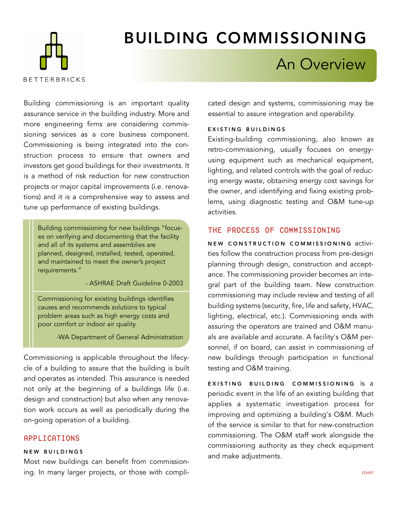

# BUILDING COMMISSIONING

## An Overview

Building commissioning is an important quality assurance service in the building industry. More and more engineering firms are considering commissioning services as a core business component. Commissioning is being integrated into the construction process to ensure that owners and investors get good buildings for their investments. It is a method of risk reduction for new construction projects or major capital improvements (i.e. renovations) and it is a comprehensive way to assess and tune up performance of existing buildings.

Building commissioning for new buildings "focuses on verifying and documenting that the facility and all of its systems and assemblies are planned, designed, installed, tested, operated, and maintained to meet the owner's project requirements."

- ASHRAE Draft Guideline 0-2003

Commissioning for existing buildings identifies causes and recommends solutions to typical problem areas such as high energy costs and poor comfort or indoor air quality.

-WA Department of General Administration

Commissioning is applicable throughout the lifecycle of a building to assure that the building is built and operates as intended. This assurance is needed not only at the beginning of a buildings life (i.e. design and construction) but also when any renovation work occurs as well as periodically during the on-going operation of a building.

#### APPLICATIONS

#### NEW BUILDINGS

Most new buildings can benefit from commissioning. In many larger projects, or those with complicated design and systems, commissioning may be essential to assure integration and operability.

#### EXISTING BUILDINGS

Existing-building commissioning, also known as retro-commissioning, usually focuses on energyusing equipment such as mechanical equipment, lighting, and related controls with the goal of reducing energy waste, obtaining energy cost savings for the owner, and identifying and fixing existing problems, using diagnostic testing and O&M tune-up activities.

#### THE PROCESS OF COMMISSIONING

NEW CONSTRUCTION COMMISSIONING activities follow the construction process from pre-design planning through design, construction and acceptance. The commissioning provider becomes an integral part of the building team. New construction commissioning may include review and testing of all building systems (security, fire, life and safety, HVAC, lighting, electrical, etc.). Commissioning ends with assuring the operators are trained and O&M manuals are available and accurate. A facility's O&M personnel, if on board, can assist in commissioning of new buildings through participation in functional testing and O&M training.

EXISTING BUILDING COMMISSIONING is a periodic event in the life of an existing building that applies a systematic investigation process for improving and optimizing a building's O&M. Much of the service is similar to that for new-construction commissioning. The O&M staff work alongside the commissioning authority as they check equipment and make adjustments.